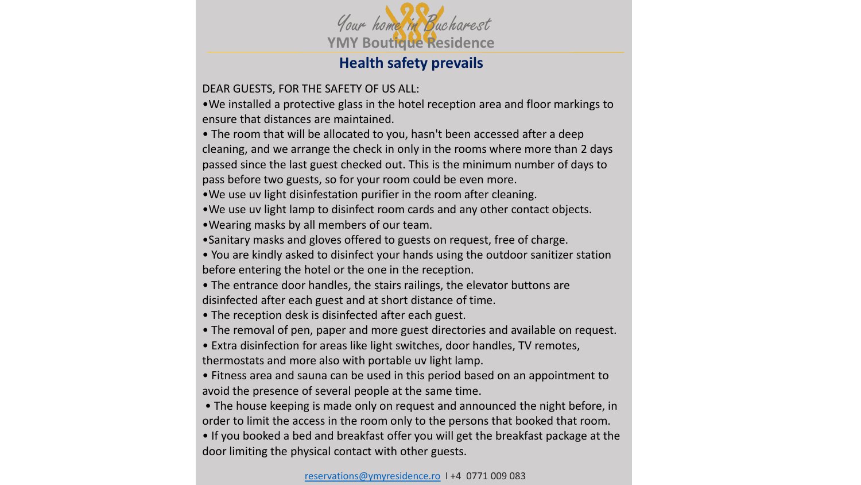

## **Health safety prevails**

## DEAR GUESTS, FOR THE SAFETY OF US ALL:

•We installed a protective glass in the hotel reception area and floor markings to ensure that distances are maintained.

• The room that will be allocated to you, hasn't been accessed after a deep cleaning, and we arrange the check in only in the rooms where more than 2 days passed since the last guest checked out. This is the minimum number of days to pass before two guests, so for your room could be even more.

•We use uv light disinfestation purifier in the room after cleaning.

•We use uv light lamp to disinfect room cards and any other contact objects.

•Wearing masks by all members of our team.

•Sanitary masks and gloves offered to guests on request, free of charge.

• You are kindly asked to disinfect your hands using the outdoor sanitizer station before entering the hotel or the one in the reception.

• The entrance door handles, the stairs railings, the elevator buttons are disinfected after each guest and at short distance of time.

• The reception desk is disinfected after each guest.

• The removal of pen, paper and more guest directories and available on request.

• Extra disinfection for areas like light switches, door handles, TV remotes, thermostats and more also with portable uv light lamp.

• Fitness area and sauna can be used in this period based on an appointment to avoid the presence of several people at the same time.

• The house keeping is made only on request and announced the night before, in order to limit the access in the room only to the persons that booked that room. • If you booked a bed and breakfast offer you will get the breakfast package at the door limiting the physical contact with other guests.